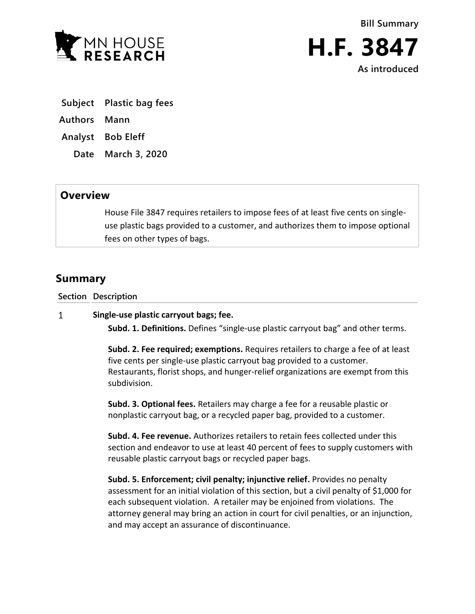

**Bill Summary H.F. 3847**

**As introduced**

- **Subject Plastic bag fees**
- **Authors Mann**
- **Analyst Bob Eleff**
	- **Date March 3, 2020**

## **Overview**

House File 3847 requires retailers to impose fees of at least five cents on singleuse plastic bags provided to a customer, and authorizes them to impose optional fees on other types of bags.

## **Summary**

**Section Description**

## $\mathbf{1}$ **Single-use plastic carryout bags; fee.**

**Subd. 1. Definitions.** Defines "single-use plastic carryout bag" and other terms.

**Subd. 2. Fee required; exemptions.** Requires retailers to charge a fee of at least five cents per single-use plastic carryout bag provided to a customer. Restaurants, florist shops, and hunger-relief organizations are exempt from this subdivision.

**Subd. 3. Optional fees.** Retailers may charge a fee for a reusable plastic or nonplastic carryout bag, or a recycled paper bag, provided to a customer.

**Subd. 4. Fee revenue.** Authorizes retailers to retain fees collected under this section and endeavor to use at least 40 percent of fees to supply customers with reusable plastic carryout bags or recycled paper bags.

**Subd. 5. Enforcement; civil penalty; injunctive relief.** Provides no penalty assessment for an initial violation of this section, but a civil penalty of \$1,000 for each subsequent violation. A retailer may be enjoined from violations. The attorney general may bring an action in court for civil penalties, or an injunction, and may accept an assurance of discontinuance.